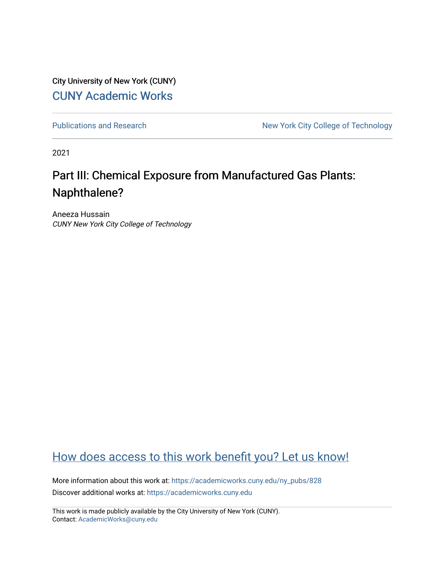City University of New York (CUNY) [CUNY Academic Works](https://academicworks.cuny.edu/) 

[Publications and Research](https://academicworks.cuny.edu/ny_pubs) New York City College of Technology

2021

### Part III: Chemical Exposure from Manufactured Gas Plants: Naphthalene?

Aneeza Hussain CUNY New York City College of Technology

### [How does access to this work benefit you? Let us know!](http://ols.cuny.edu/academicworks/?ref=https://academicworks.cuny.edu/ny_pubs/828)

More information about this work at: [https://academicworks.cuny.edu/ny\\_pubs/828](https://academicworks.cuny.edu/ny_pubs/828)  Discover additional works at: [https://academicworks.cuny.edu](https://academicworks.cuny.edu/?)

This work is made publicly available by the City University of New York (CUNY). Contact: [AcademicWorks@cuny.edu](mailto:AcademicWorks@cuny.edu)